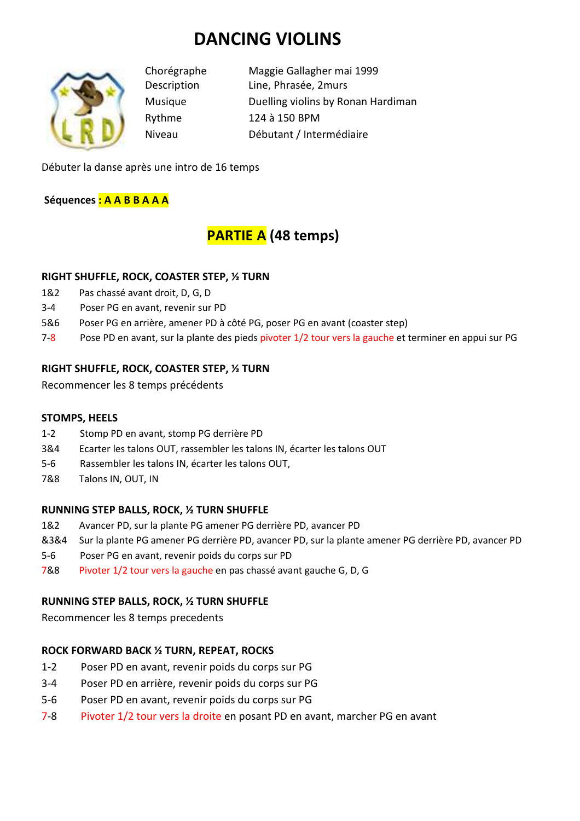# **DANCING VIOLINS**



Chorégraphe Maggie Gallagher mai 1999 Description Line, Phrasée, 2murs Musique Duelling violins by Ronan Hardiman Rythme 124 à 150 BPM Niveau Débutant / Intermédiaire

Débuter la danse après une intro de 16 temps

**Séquences : A A B B A A A** 

## **PARTIE A (48 temps)**

#### **RIGHT SHUFFLE, ROCK, COASTER STEP, ½ TURN**

- 1&2 Pas chassé avant droit, D, G, D
- 3-4 Poser PG en avant, revenir sur PD
- 5&6 Poser PG en arrière, amener PD à côté PG, poser PG en avant (coaster step)
- 7-8 Pose PD en avant, sur la plante des pieds pivoter 1/2 tour vers la gauche et terminer en appui sur PG

#### **RIGHT SHUFFLE, ROCK, COASTER STEP, ½ TURN**

Recommencer les 8 temps précédents

#### **STOMPS, HEELS**

- 1-2 Stomp PD en avant, stomp PG derrière PD
- 3&4 Ecarter les talons OUT, rassembler les talons IN, écarter les talons OUT
- 5-6 Rassembler les talons IN, écarter les talons OUT,
- 7&8 Talons IN, OUT, IN

#### **RUNNING STEP BALLS, ROCK, ½ TURN SHUFFLE**

- 1&2 Avancer PD, sur la plante PG amener PG derrière PD, avancer PD
- &3&4 Sur la plante PG amener PG derrière PD, avancer PD, sur la plante amener PG derrière PD, avancer PD
- 5-6 Poser PG en avant, revenir poids du corps sur PD
- 7&8 Pivoter 1/2 tour vers la gauche en pas chassé avant gauche G, D, G

#### **RUNNING STEP BALLS, ROCK, ½ TURN SHUFFLE**

Recommencer les 8 temps precedents

#### **ROCK FORWARD BACK ½ TURN, REPEAT, ROCKS**

- 1-2 Poser PD en avant, revenir poids du corps sur PG
- 3-4 Poser PD en arrière, revenir poids du corps sur PG
- 5-6 Poser PD en avant, revenir poids du corps sur PG
- 7-8 Pivoter 1/2 tour vers la droite en posant PD en avant, marcher PG en avant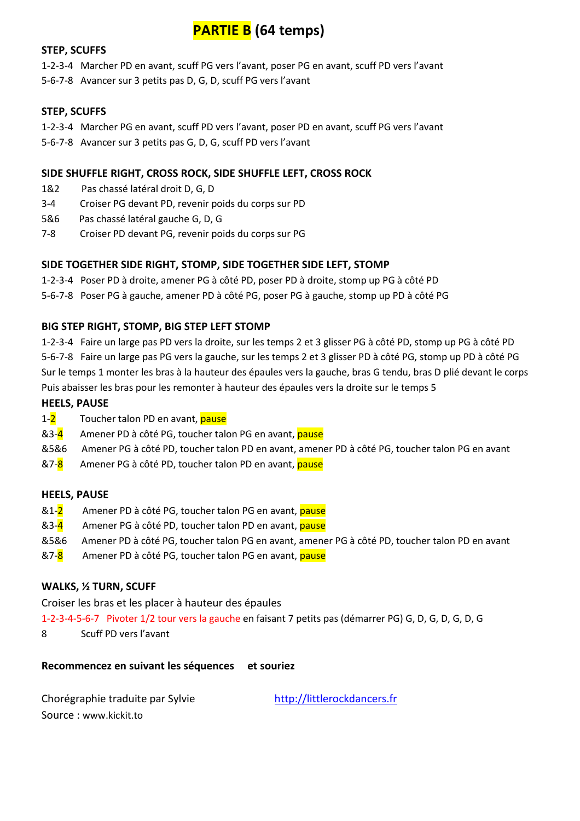### **PARTIE B (64 temps)**

#### **STEP, SCUFFS**

1-2-3-4 Marcher PD en avant, scuff PG vers l'avant, poser PG en avant, scuff PD vers l'avant

5-6-7-8 Avancer sur 3 petits pas D, G, D, scuff PG vers l'avant

#### **STEP, SCUFFS**

1-2-3-4 Marcher PG en avant, scuff PD vers l'avant, poser PD en avant, scuff PG vers l'avant

5-6-7-8 Avancer sur 3 petits pas G, D, G, scuff PD vers l'avant

#### **SIDE SHUFFLE RIGHT, CROSS ROCK, SIDE SHUFFLE LEFT, CROSS ROCK**

- 1&2 Pas chassé latéral droit D, G, D
- 3-4 Croiser PG devant PD, revenir poids du corps sur PD
- 5&6 Pas chassé latéral gauche G, D, G
- 7-8 Croiser PD devant PG, revenir poids du corps sur PG

#### **SIDE TOGETHER SIDE RIGHT, STOMP, SIDE TOGETHER SIDE LEFT, STOMP**

1-2-3-4 Poser PD à droite, amener PG à côté PD, poser PD à droite, stomp up PG à côté PD

5-6-7-8 Poser PG à gauche, amener PD à côté PG, poser PG à gauche, stomp up PD à côté PG

#### **BIG STEP RIGHT, STOMP, BIG STEP LEFT STOMP**

1-2-3-4 Faire un large pas PD vers la droite, sur les temps 2 et 3 glisser PG à côté PD, stomp up PG à côté PD 5-6-7-8 Faire un large pas PG vers la gauche, sur les temps 2 et 3 glisser PD à côté PG, stomp up PD à côté PG Sur le temps 1 monter les bras à la hauteur des épaules vers la gauche, bras G tendu, bras D plié devant le corps Puis abaisser les bras pour les remonter à hauteur des épaules vers la droite sur le temps 5

#### **HEELS, PAUSE**

- 1-2 Toucher talon PD en avant, pause
- &3-4 Amener PD à côté PG, toucher talon PG en avant, *pause*
- &5&6 Amener PG à côté PD, toucher talon PD en avant, amener PD à côté PG, toucher talon PG en avant
- &7-8 Amener PG à côté PD, toucher talon PD en avant, pause

#### **HEELS, PAUSE**

- &1-2 Amener PD à côté PG, toucher talon PG en avant, pause
- &3-4 Amener PG à côté PD, toucher talon PD en avant, pause
- &5&6 Amener PD à côté PG, toucher talon PG en avant, amener PG à côté PD, toucher talon PD en avant
- &7-8 Amener PD à côté PG, toucher talon PG en avant, pause

#### **WALKS, ½ TURN, SCUFF**

Croiser les bras et les placer à hauteur des épaules

1-2-3-4-5-6-7 Pivoter 1/2 tour vers la gauche en faisant 7 petits pas (démarrer PG) G, D, G, D, G, D, G

8 Scuff PD vers l'avant

#### **Recommencez en suivant les séquences et souriez**

Chorégraphie traduite par Sylvie http://littlerockdancers.fr Source : www.kickit.to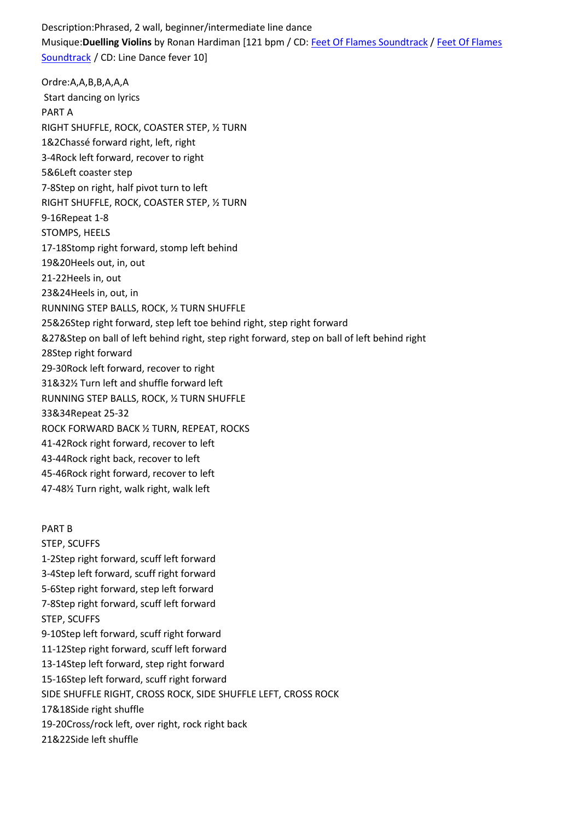Description:Phrased, 2 wall, beginner/intermediate line dance Musique:**Duelling Violins** by Ronan Hardiman [121 bpm / CD: Feet Of Flames Soundtrack / Feet Of Flames Soundtrack / CD: Line Dance fever 10]

Ordre:A,A,B,B,A,A,A Start dancing on lyrics PART A RIGHT SHUFFLE, ROCK, COASTER STEP, ½ TURN 1&2Chassé forward right, left, right 3-4Rock left forward, recover to right 5&6Left coaster step 7-8Step on right, half pivot turn to left RIGHT SHUFFLE, ROCK, COASTER STEP, ½ TURN 9-16Repeat 1-8 STOMPS, HEELS 17-18Stomp right forward, stomp left behind 19&20Heels out, in, out 21-22Heels in, out 23&24Heels in, out, in RUNNING STEP BALLS, ROCK, ½ TURN SHUFFLE 25&26Step right forward, step left toe behind right, step right forward &27&Step on ball of left behind right, step right forward, step on ball of left behind right 28Step right forward 29-30Rock left forward, recover to right 31&32½ Turn left and shuffle forward left RUNNING STEP BALLS, ROCK, ½ TURN SHUFFLE 33&34Repeat 25-32 ROCK FORWARD BACK ½ TURN, REPEAT, ROCKS 41-42Rock right forward, recover to left 43-44Rock right back, recover to left 45-46Rock right forward, recover to left 47-48½ Turn right, walk right, walk left PART B

STEP, SCUFFS 1-2Step right forward, scuff left forward 3-4Step left forward, scuff right forward 5-6Step right forward, step left forward 7-8Step right forward, scuff left forward STEP, SCUFFS 9-10Step left forward, scuff right forward 11-12Step right forward, scuff left forward 13-14Step left forward, step right forward 15-16Step left forward, scuff right forward SIDE SHUFFLE RIGHT, CROSS ROCK, SIDE SHUFFLE LEFT, CROSS ROCK 17&18Side right shuffle 19-20Cross/rock left, over right, rock right back 21&22Side left shuffle